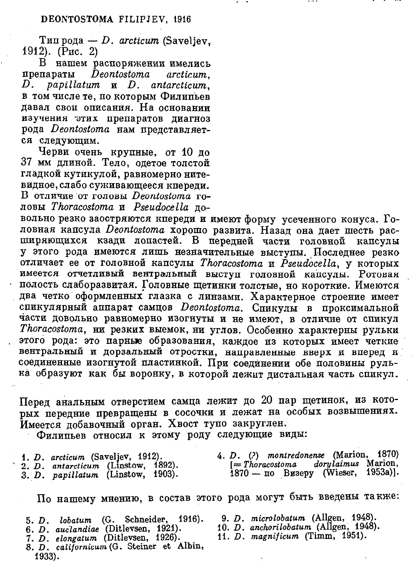Типрода — D. arcticum (Saveliey. 1912). (Рис. 2)

В нашем распоряжении имелись препараты Deontostoma arcticum.  $D.$  papillatum  $\mathbf{u}$   $D.$  antarcticum. в том числе те, по которым Филипьев давал свои описания. На основании изучения этих препаратов диагноз рода Deontostoma нам представляется следующим.

Черви очень крупные, от 10 до 37 мм длиной. Тело, одетое толстой гладкой кутикулой, равномерно нитевидное, слабо суживающееся кпереди. В отличие от головы Deontostoma головы Thoracostoma и Pseudocella по-

вольно резко заостряются кпереди и имеют форму усеченного конуса. Головная капсула Deontostoma хорошо развита. Назад она дает шесть расширяющихся кзади попастей. В передней части головной капсулы у этого рода имеются лишь незначительные выступы. Последнее резко отличает ее от головной капсулы Thoracostoma и Pseudocella, у которых имеется отчетливый вентральный выступ головной капсулы. Ротовая полость слаборазвитая. Головные щетинки толстые, но короткие. Имеются два четко оформленных глазка с линзами. Характерное строение имеет спикулярный аппарат самцов Deontostoma. Спикулы в проксимальной части довольно равномерно изогнуты и не имеют, в отличие от спикул Thoracostoma, ни резких выемок, ни углов. Особенно характерны рульки этого рода: это парные образования, каждое из которых имеет четкие вентральный и дорзальный отростки, направленные вверх и вперед и соединенные изогнутой пластинкой. При соединении обе половины рулька образуют как бы воронку, в которой лежит дистальная часть спикул.

Перед анальным отверстием самца лежит до 20 пар щетинок, из которых передние превращены в сосочки и лежат на особых возвышениях. Имеется добавочный орган. Хвост тупо закруглен.

Филипьев относил к этому роду следующие виды:

| 1. D. $arcticum$ (Saveljev, 1912).  | 4. D. (?) montredonense (Marion, 1870)  |
|-------------------------------------|-----------------------------------------|
| 2. D. antarcticum (Linstow, 1892).  | $[=The reason a \, dory laimus$ Marion, |
| 3. $D.$ papillatum (Linstow, 1903). | 1870 — по Визеру (Wieser, 1953a)].      |

По нашему мнению, в состав этого рода могут быть введены также:

- 5. D. lobatum (G. Schneider, 1916).
- 6. D. auclandiae (Ditlevsen, 1921).<br>7. D. elongatum (Ditlevsen, 1926).
- 
- 8. D. californicum (G. Steiner et Albin, 1933).
- 9. D. microlobatum (Allgen, 1948).
- 10. D. anchorilobatum (Allgen, 1948).
- 11. D. magnificum (Timm, 1951).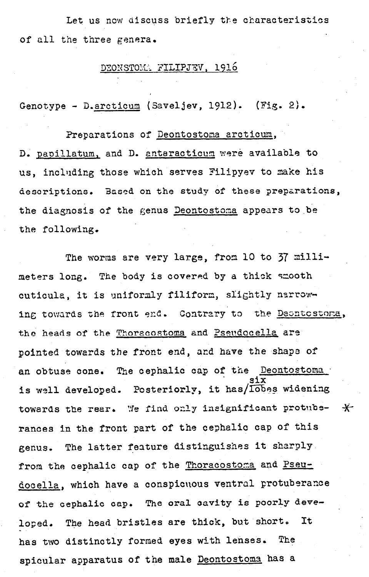Let us now discuss briefly the characteristics of all the three genera.

## DEONSTOM. FILIPJEV, 1916

Genotype - D. arcticum (Saveljev, 1912). (Fig. 2).

## Preparations of Deontostoma arcticum,

D. papillatum, and D. antaracticum were available to us, including those which serves Filipyev to make his descriptions. Based on the study of these preparations, the diagnosis of the genus Deontostoma appears to be the following.

The worms are very large, from 10 to  $37$  millimeters long. The body is covered by a thick smooth cuticula, it is uniformly filiform, slightly narrowing towards the front end. Contrary to the Deontostoma, the heads of the Thoracostoma and Pseudocella are pointed towards the front end, and have the shape of an obtuse cone. The cephalic cap of the Deontostoma is well developed. Posteriorly, it has/Iobes widening towards the rear, We find only insignificant protube- $\star$ rances in the front part of the cephalic cap of this genus. The latter feature distinguishes it sharply. from the cephalic cap of the Thoracostoma and Pseudocella, which have a conspicuous ventral protuberance of the cephalic cap, The oral cavity is poorly developed. The head bristles are thick, but short. It has two distinctly formed eyes with lenses. The spicular apparatus of the male Deontostoma has a